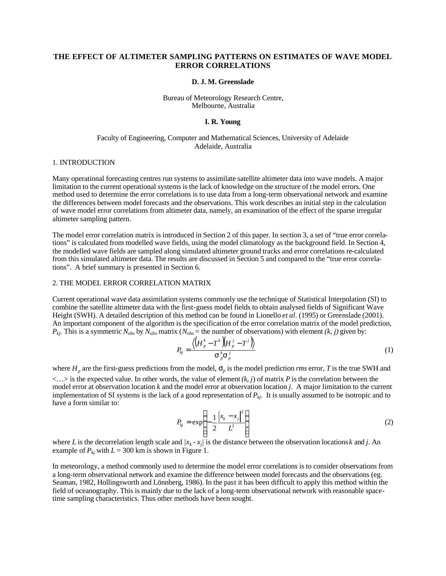# **THE EFFECT OF ALTIMETER SAMPLING PATTERNS ON ESTIMATES OF WAVE MODEL ERROR CORRELATIONS**

#### **D. J. M. Greenslade**

#### Bureau of Meteorology Research Centre, Melbourne, Australia

### **I. R. Young**

# Faculty of Engineering, Computer and Mathematical Sciences, University of Adelaide Adelaide, Australia

#### 1. INTRODUCTION

Many operational forecasting centres run systems to assimilate satellite altimeter data into wave models. A major limitation to the current operational systems is the lack of knowledge on the structure of the model errors. One method used to determine the error correlations is to use data from a long-term observational network and examine the differences between model forecasts and the observations. This work describes an initial step in the calculation of wave model error correlations from altimeter data, namely, an examination of the effect of the sparse irregular altimeter sampling pattern.

The model error correlation matrix is introduced in Section 2 of this paper. In section 3, a set of "true error correlations" is calculated from modelled wave fields, using the model climatology as the background field. In Section 4, the modelled wave fields are sampled along simulated altimeter ground tracks and error correlations re-calculated from this simulated altimeter data. The results are discussed in Section 5 and compared to the "true error correlations". A brief summary is presented in Section 6.

#### 2. THE MODEL ERROR CORRELATION MATRIX

Current operational wave data assimilation systems commonly use the technique of Statistical Interpolation (SI) to combine the satellite altimeter data with the first-guess model fields to obtain analysed fields of Significant Wave Height (SWH). A detailed description of this method can be found in Lionello *et al*. (1995) or Greenslade (2001). An important component of the algorithm is the specification of the error correlation matrix of the model prediction,  $P_{kj}$ . This is a symmetric  $N_{obs}$  by  $N_{obs}$  matrix  $(N_{obs} =$  the number of observations) with element *(k, j)* given by:

$$
P_{kj} = \frac{\langle \left( H_p^k - T^k \right) \! \left( H_p^j - T^j \right) \rangle}{\mathbf{s}_p^k \mathbf{s}_p^j} \tag{1}
$$

where  $H_p$  are the first-guess predictions from the model,  $S_p$  is the model prediction *rms* error, *T* is the true SWH and  $\langle \ldots \rangle$  is the expected value. In other words, the value of element  $(k, j)$  of matrix *P* is the correlation between the model error at observation location *k* and the model error at observation location *j*. A major limitation to the current implementation of SI systems is the lack of a good representation of *Pkj*. It is usually assumed to be isotropic and to have a form similar to:

$$
P_{kj} = \exp\left\{-\frac{1}{2}\frac{|x_k - x_j|^2}{L^2}\right\}
$$
 (2)

where *L* is the decorrelation length scale and  $/x_k - x_j$  is the distance between the observation locations *k* and *j*. An example of  $P_{ki}$  with  $L = 300$  km is shown in Figure 1.

In meteorology, a method commonly used to determine the model error correlations is to consider observations from a long-term observational network and examine the difference between model forecasts and the observations (eg. Seaman, 1982, Hollingsworth and Lönnberg, 1986). In the past it has been difficult to apply this method within the field of oceanography. This is mainly due to the lack of a long-term observational network with reasonable spacetime sampling characteristics. Thus other methods have been sought.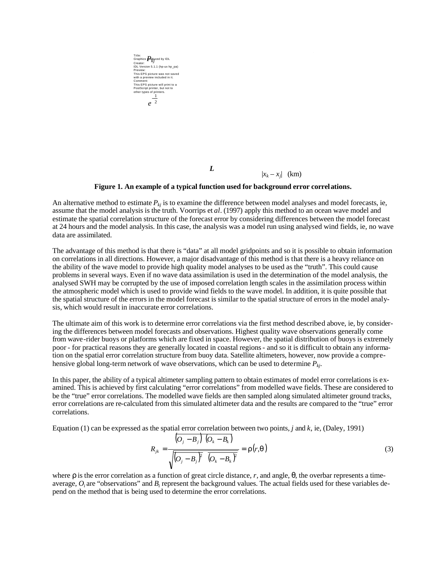

**Figure 1. An example of a typical function used for background error correlations.**

An alternative method to estimate  $P_{kj}$  is to examine the difference between model analyses and model forecasts, ie, assume that the model analysis is the truth. Voorrips et *al*. (1997) apply this method to an ocean wave model and estimate the spatial correlation structure of the forecast error by considering differences between the model forecast at 24 hours and the model analysis. In this case, the analysis was a model run using analysed wind fields, ie, no wave data are assimilated.

The advantage of this method is that there is "data" at all model gridpoints and so it is possible to obtain information on correlations in all directions. However, a major disadvantage of this method is that there is a heavy reliance on the ability of the wave model to provide high quality model analyses to be used as the "truth". This could cause problems in several ways. Even if no wave data assimilation is used in the determination of the model analysis, the analysed SWH may be corrupted by the use of imposed correlation length scales in the assimilation process within the atmospheric model which is used to provide wind fields to the wave model. In addition, it is quite possible that the spatial structure of the errors in the model forecast is similar to the spatial structure of errors in the model analysis, which would result in inaccurate error correlations.

The ultimate aim of this work is to determine error correlations via the first method described above, ie, by considering the differences between model forecasts and observations. Highest quality wave observations generally come from wave-rider buoys or platforms which are fixed in space. However, the spatial distribution of buoys is extremely poor - for practical reasons they are generally located in coastal regions - and so it is difficult to obtain any information on the spatial error correlation structure from buoy data. Satellite altimeters, however, now provide a comprehensive global long-term network of wave observations, which can be used to determine *Pkj*.

In this paper, the ability of a typical altimeter sampling pattern to obtain estimates of model error correlations is examined. This is achieved by first calculating "error correlations" from modelled wave fields. These are considered to be the "true" error correlations. The modelled wave fields are then sampled along simulated altimeter ground tracks, error correlations are re-calculated from this simulated altimeter data and the results are compared to the "true" error correlations.

Equation (1) can be expressed as the spatial error correlation between two points, *j* and *k*, ie, (Daley, 1991)

$$
R_{jk} = \frac{\left(O_j - B_j\right)\left(O_k - B_k\right)}{\sqrt{\left(O_j - B_j\right)^2}\left(O_k - B_k\right)^2} = \mathbf{r}\left(r, \mathbf{q}\right)
$$
\n(3)

where *r* is the error correlation as a function of great circle distance, *r,* and angle, *q*, the overbar represents a timeaverage,  $O_i$  are "observations" and  $B_i$  represent the background values. The actual fields used for these variables depend on the method that is being used to determine the error correlations.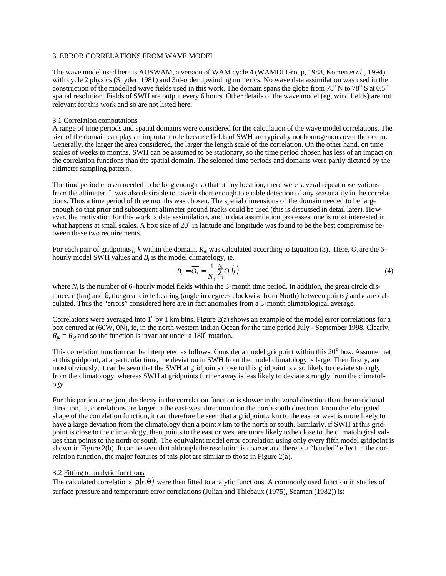# 3. ERROR CORRELATIONS FROM WAVE MODEL

The wave model used here is AUSWAM, a version of WAM cycle 4 (WAMDI Group, 1988, Komen *et al*., 1994) with cycle 2 physics (Snyder, 1981) and 3rd-order upwinding numerics. No wave data assimilation was used in the construction of the modelled wave fields used in this work. The domain spans the globe from 78 $^{\circ}$  N to 78 $^{\circ}$  S at 0.5 $^{\circ}$ spatial resolution. Fields of SWH are output every 6 hours. Other details of the wave model (eg, wind fields) are not relevant for this work and so are not listed here.

### 3.1 Correlation computations

A range of time periods and spatial domains were considered for the calculation of the wave model correlations. The size of the domain can play an important role because fields of SWH are typically not homogenous over the ocean. Generally, the larger the area considered, the larger the length scale of the correlation. On the other hand, on time scales of weeks to months, SWH can be assumed to be stationary, so the time period chosen has less of an impact on the correlation functions than the spatial domain. The selected time periods and domains were partly dictated by the altimeter sampling pattern.

The time period chosen needed to be long enough so that at any location, there were several repeat observations from the altimeter. It was also desirable to have it short enough to enable detection of any seasonality in the correlations. Thus a time period of three months was chosen. The spatial dimensions of the domain needed to be large enough so that prior and subsequent altimeter ground tracks could be used (this is discussed in detail later). However, the motivation for this work is data assimilation, and in data assimilation processes, one is most interested in what happens at small scales. A box size of  $20^{\circ}$  in latitude and longitude was found to be the best compromise between these two requirements.

For each pair of gridpoints *j, k* within the domain,  $R_{jk}$  was calculated according to Equation (3). Here,  $O_i$  are the 6hourly model SWH values and  $B_i$  is the model climatology, ie.

$$
B_i = \overline{O_i} = \frac{1}{N_i} \sum_{t=1}^{N_i} O_i(t)
$$
\n<sup>(4)</sup>

where  $N_t$  is the number of 6-hourly model fields within the 3-month time period. In addition, the great circle distance, *r* (km) and *q*, the great circle bearing (angle in degrees clockwise from North) between points *j* and *k* are calculated. Thus the "errors" considered here are in fact anomalies from a 3-month climatological average.

Correlations were averaged into  $1^{\circ}$  by 1 km bins. Figure 2(a) shows an example of the model error correlations for a box centred at (60W, 0N), ie, in the north-western Indian Ocean for the time period July - September 1998. Clearly,  $R_{jk} = R_{kj}$  and so the function is invariant under a 180<sup>o</sup> rotation.

This correlation function can be interpreted as follows. Consider a model gridpoint within this 20° box. Assume that at this gridpoint, at a particular time, the deviation in SWH from the model climatology is large. Then firstly, and most obviously, it can be seen that the SWH at gridpoints close to this gridpoint is also likely to deviate strongly from the climatology, whereas SWH at gridpoints further away is less likely to deviate strongly from the climatology.

For this particular region, the decay in the correlation function is slower in the zonal direction than the meridional direction, ie, correlations are larger in the east-west direction than the north-south direction. From this elongated shape of the correlation function, it can therefore be seen that a gridpoint  $x$  km to the east or west is more likely to have a large deviation from the climatology than a point *x* km to the north or south. Similarly, if SWH at this gridpoint is close to the climatology, then points to the east or west are more likely to be close to the climatological values than points to the north or south. The equivalent model error correlation using only every fifth model gridpoint is shown in Figure 2(b). It can be seen that although the resolution is coarser and there is a "banded" effect in the correlation function, the major features of this plot are similar to those in Figure 2(a).

# 3.2 Fitting to analytic functions

The calculated correlations  $r(r,q)$  were then fitted to analytic functions. A commonly used function in studies of surface pressure and temperature error correlations (Julian and Thiebaux (1975), Seaman (1982)) is: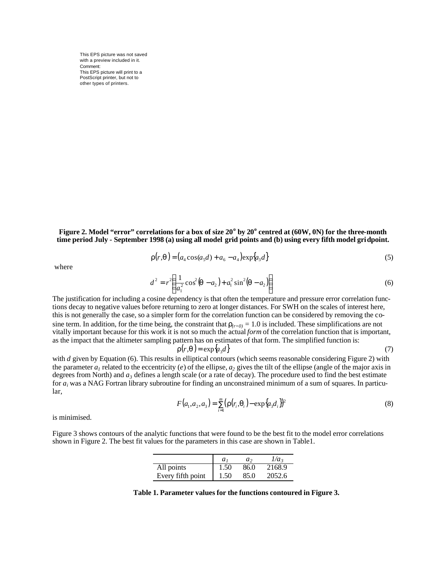

$$
\mathbf{r}(r, \mathbf{q}) = (a_4 \cos(a_5 d) + a_6 - a_4) \exp\{a_3 d\} \tag{5}
$$

where

$$
d^{2} = r^{2} \left( \frac{1}{a_{1}^{2}} \cos^{2}(\mathbf{q} - a_{2}) + a_{1}^{2} \sin^{2}(\mathbf{q} - a_{2}) \right)
$$
 (6)

The justification for including a cosine dependency is that often the temperature and pressure error correlation functions decay to negative values before returning to zero at longer distances. For SWH on the scales of interest here, this is not generally the case, so a simpler form for the correlation function can be considered by removing the cosine term. In addition, for the time being, the constraint that  $r<sub>(r=0)</sub> = 1.0$  is included. These simplifications are not vitally important because for this work it is not so much the actual *form* of the correlation function that is important, as the impact that the altimeter sampling pattern has on estimates of that form. The simplified function is:

$$
\mathbf{r}(r,\mathbf{q}) = \exp\{a_3 d\} \tag{7}
$$

with *d* given by Equation (6). This results in elliptical contours (which seems reasonable considering Figure 2) with the parameter  $a_1$  related to the eccentricity (*e*) of the ellipse,  $a_2$  gives the tilt of the ellipse (angle of the major axis in degrees from North) and  $a_3$  defines a length scale (or a rate of decay). The procedure used to find the best estimate for *a<sup>i</sup>* was a NAG Fortran library subroutine for finding an unconstrained minimum of a sum of squares. In particular,

$$
F(a_1, a_2, a_3) = \sum_{i=1}^{m} \left( \mathbf{r}(r_i, \mathbf{q}_i) - \exp\{a_3 d_i \} \right)^2 \tag{8}
$$

is minimised.

Figure 3 shows contours of the analytic functions that were found to be the best fit to the model error correlations shown in Figure 2. The best fit values for the parameters in this case are shown in Table1.

|                   | a <sub>i</sub> | a٠   | $1/a_{3}$ |
|-------------------|----------------|------|-----------|
| All points        | 1.50           | 86.0 | 2168.9    |
| Every fifth point | 1.50           | 85.0 | 2052.6    |

**Table 1. Parameter values for the functions contoured in Figure 3.**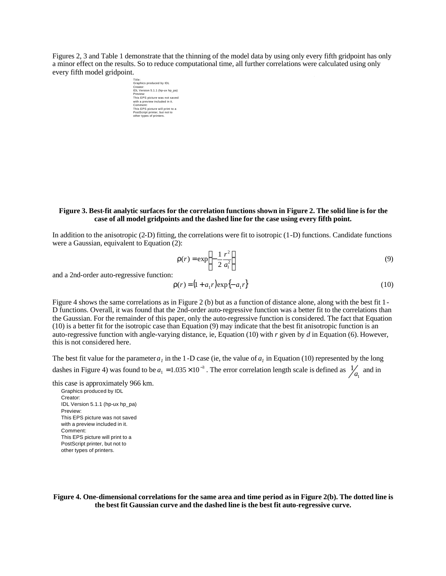Figures 2, 3 and Table 1 demonstrate that the thinning of the model data by using only every fifth gridpoint has only a minor effect on the results. So to reduce computational time, all further correlations were calculated using only every fifth model gridpoint.



**Figure 3. Best-fit analytic surfaces for the correlation functions shown in Figure 2. The solid line is for the case of all model gridpoints and the dashed line for the case using every fifth point.**

In addition to the anisotropic (2-D) fitting, the correlations were fit to isotropic (1-D) functions. Candidate functions were a Gaussian, equivalent to Equation (2):

$$
\mathbf{r}(r) = \exp\left\{-\frac{1}{2}\frac{r^2}{a_1^2}\right\} \tag{9}
$$

and a 2nd-order auto-regressive function:

$$
\mathbf{r}(r) = (1 + a_1 r) \exp\{-a_1 r\} \tag{10}
$$

Figure 4 shows the same correlations as in Figure 2 (b) but as a function of distance alone, along with the best fit 1- D functions. Overall, it was found that the 2nd-order auto-regressive function was a better fit to the correlations than the Gaussian. For the remainder of this paper, only the auto-regressive function is considered. The fact that Equation (10) is a better fit for the isotropic case than Equation (9) may indicate that the best fit anisotropic function is an auto-regressive function with angle-varying distance, ie, Equation (10) with *r* given by *d* in Equation (6). However, this is not considered here.

The best fit value for the parameter  $a<sub>l</sub>$  in the 1-D case (ie, the value of  $a<sub>l</sub>$  in Equation (10) represented by the long dashes in Figure 4) was found to be  $a_1 = 1.035 \times 10^{-3}$ . The error correlation length scale is defined as  $\frac{1}{a_1}$  $\frac{1}{a_1}$  and in

this case is approximately 966 km.

Graphics produced by IDL Creator: IDL Version 5.1.1 (hp-ux hp\_pa) Preview: This EPS picture was not saved with a preview included in it. Comment: This EPS picture will print to a PostScript printer, but not to other types of printers.

**Figure 4. One-dimensional correlations for the same area and time period as in Figure 2(b). The dotted line is the best fit Gaussian curve and the dashed line is the best fit auto-regressive curve.**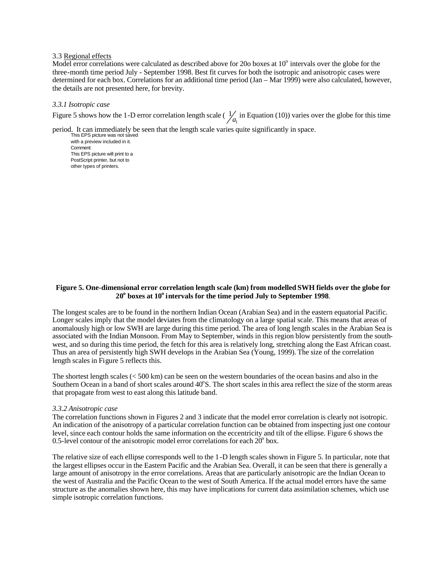### 3.3 Regional effects

Model error correlations were calculated as described above for 20 $\sigma$  boxes at 10 $\degree$  intervals over the globe for the three-month time period July - September 1998. Best fit curves for both the isotropic and anisotropic cases were determined for each box. Correlations for an additional time period (Jan – Mar 1999) were also calculated, however, the details are not presented here, for brevity.

### *3.3.1 Isotropic case*

Figure 5 shows how the 1-D error correlation length scale ( $\frac{1}{a_1}$  $\frac{1}{a_1}$  in Equation (10)) varies over the globe for this time

period. It can immediately be seen that the length scale varies quite significantly in space.<br>
This EPS picture was not saved

with a preview included in it. Comment: This EPS picture will print to a PostScript printer, but not to other types of printers.

# **Figure 5. One-dimensional error correlation length scale (km) from modelled SWH fields over the globe for 20<sup>o</sup> boxes at 10<sup>o</sup> intervals for the time period July to September 1998**.

The longest scales are to be found in the northern Indian Ocean (Arabian Sea) and in the eastern equatorial Pacific. Longer scales imply that the model deviates from the climatology on a large spatial scale. This means that areas of anomalously high or low SWH are large during this time period. The area of long length scales in the Arabian Sea is associated with the Indian Monsoon. From May to September, winds in this region blow persistently from the southwest, and so during this time period, the fetch for this area is relatively long, stretching along the East African coast. Thus an area of persistently high SWH develops in the Arabian Sea (Young, 1999). The size of the correlation length scales in Figure 5 reflects this.

The shortest length scales (< 500 km) can be seen on the western boundaries of the ocean basins and also in the Southern Ocean in a band of short scales around 40°S. The short scales in this area reflect the size of the storm areas that propagate from west to east along this latitude band.

### *3.3.2 Anisotropic case*

The correlation functions shown in Figures 2 and 3 indicate that the model error correlation is clearly not isotropic. An indication of the anisotropy of a particular correlation function can be obtained from inspecting just one contour level, since each contour holds the same information on the eccentricity and tilt of the ellipse. Figure 6 shows the 0.5-level contour of the anisotropic model error correlations for each  $20^{\circ}$  box.

The relative size of each ellipse corresponds well to the 1-D length scales shown in Figure 5. In particular, note that the largest ellipses occur in the Eastern Pacific and the Arabian Sea. Overall, it can be seen that there is generally a large amount of anisotropy in the error correlations. Areas that are particularly anisotropic are the Indian Ocean to the west of Australia and the Pacific Ocean to the west of South America. If the actual model errors have the same structure as the anomalies shown here, this may have implications for current data assimilation schemes, which use simple isotropic correlation functions.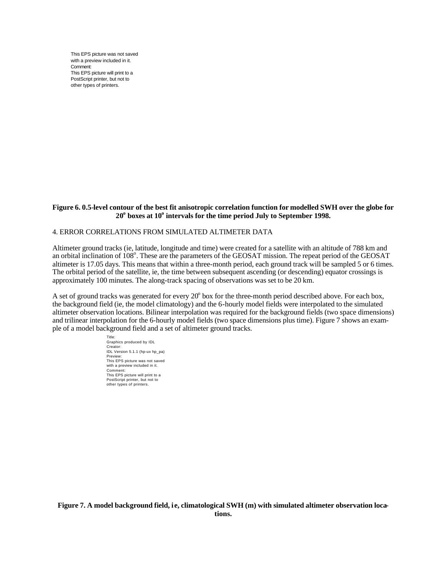

## 4. ERROR CORRELATIONS FROM SIMULATED ALTIMETER DATA

Altimeter ground tracks (ie, latitude, longitude and time) were created for a satellite with an altitude of 788 km and an orbital inclination of 108°. These are the parameters of the GEOSAT mission. The repeat period of the GEOSAT altimeter is 17.05 days. This means that within a three-month period, each ground track will be sampled 5 or 6 times. The orbital period of the satellite, ie, the time between subsequent ascending (or descending) equator crossings is approximately 100 minutes. The along-track spacing of observations was set to be 20 km.

A set of ground tracks was generated for every 20° box for the three-month period described above. For each box, the background field (ie, the model climatology) and the 6-hourly model fields were interpolated to the simulated altimeter observation locations. Bilinear interpolation was required for the background fields (two space dimensions) and trilinear interpolation for the 6-hourly model fields (two space dimensions plus time). Figure 7 shows an example of a model background field and a set of altimeter ground tracks.

| Graphics produced by IDL<br>Creator:                       |  |  |  |
|------------------------------------------------------------|--|--|--|
| IDL Version 5.1.1 (hp-ux hp_pa)                            |  |  |  |
| Preview:<br>This EPS picture was not saved                 |  |  |  |
| with a preview included in it.                             |  |  |  |
| Comment:                                                   |  |  |  |
| This EPS picture will print to a                           |  |  |  |
| PostScript printer, but not to<br>other types of printers. |  |  |  |
|                                                            |  |  |  |
|                                                            |  |  |  |
|                                                            |  |  |  |
|                                                            |  |  |  |
|                                                            |  |  |  |
|                                                            |  |  |  |
|                                                            |  |  |  |
|                                                            |  |  |  |
|                                                            |  |  |  |
|                                                            |  |  |  |
|                                                            |  |  |  |
|                                                            |  |  |  |
|                                                            |  |  |  |
|                                                            |  |  |  |
|                                                            |  |  |  |
|                                                            |  |  |  |
|                                                            |  |  |  |
|                                                            |  |  |  |
|                                                            |  |  |  |
|                                                            |  |  |  |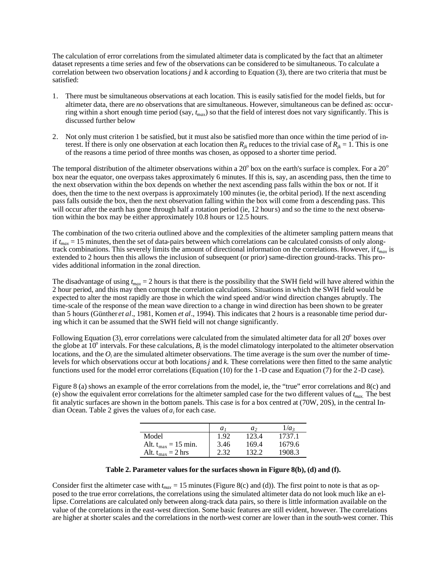The calculation of error correlations from the simulated altimeter data is complicated by the fact that an altimeter dataset represents a time series and few of the observations can be considered to be simultaneous. To calculate a correlation between two observation locations *j* and *k* according to Equation (3), there are two criteria that must be satisfied:

- 1. There must be simultaneous observations at each location. This is easily satisfied for the model fields, but for altimeter data, there are *no* observations that are simultaneous. However, simultaneous can be defined as: occurring within a short enough time period (say, *tmax*) so that the field of interest does not vary significantly. This is discussed further below
- 2. Not only must criterion 1 be satisfied, but it must also be satisfied more than once within the time period of interest. If there is only one observation at each location then  $R_{ik}$  reduces to the trivial case of  $R_{ik} = 1$ . This is one of the reasons a time period of three months was chosen, as opposed to a shorter time period.

The temporal distribution of the altimeter observations within a 20 $^{\circ}$  box on the earth's surface is complex. For a 20 $^{\circ}$ box near the equator, one overpass takes approximately 6 minutes. If this is, say, an ascending pass, then the time to the next observation within the box depends on whether the next ascending pass falls within the box or not. If it does, then the time to the next overpass is approximately 100 minutes (ie, the orbital period). If the next ascending pass falls outside the box, then the next observation falling within the box will come from a descending pass. This will occur after the earth has gone through half a rotation period (ie, 12 hours) and so the time to the next observation within the box may be either approximately 10.8 hours or 12.5 hours.

The combination of the two criteria outlined above and the complexities of the altimeter sampling pattern means that if  $t_{max} = 15$  minutes, then the set of data-pairs between which correlations can be calculated consists of only alongtrack combinations. This severely limits the amount of directional information on the correlations. However, if *tmax* is extended to 2 hours then this allows the inclusion of subsequent (or prior) same-direction ground-tracks. This provides additional information in the zonal direction.

The disadvantage of using *tmax* = 2 hours is that there is the possibility that the SWH field will have altered within the 2 hour period, and this may then corrupt the correlation calculations. Situations in which the SWH field would be expected to alter the most rapidly are those in which the wind speed and/or wind direction changes abruptly. The time-scale of the response of the mean wave direction to a change in wind direction has been shown to be greater than 5 hours (Günther *et al*., 1981, Komen *et al*., 1994). This indicates that 2 hours is a reasonable time period during which it can be assumed that the SWH field will not change significantly.

Following Equation (3), error correlations were calculated from the simulated altimeter data for all  $20^{\circ}$  boxes over the globe at  $10^{\circ}$  intervals. For these calculations,  $B_i$  is the model climatology interpolated to the altimeter observation locations, and the  $O_i$  are the simulated altimeter observations. The time average is the sum over the number of timelevels for which observations occur at both locations *j* and *k.* These correlations were then fitted to the same analytic functions used for the model error correlations (Equation (10) for the 1-D case and Equation (7) for the 2-D case).

Figure 8 (a) shows an example of the error correlations from the model, ie, the "true" error correlations and 8(c) and (e) show the equivalent error correlations for the altimeter sampled case for the two different values of *tmax.* The best fit analytic surfaces are shown in the bottom panels. This case is for a box centred at (70W, 20S), in the central Indian Ocean. Table 2 gives the values of  $a_i$  for each case.

|                          | a <sub>i</sub> | a,    | $1/a_{3}$ |
|--------------------------|----------------|-------|-----------|
| Model                    | 1.92           | 123.4 | 1737.1    |
| Alt. $t_{max} = 15$ min. | 3.46           | 169.4 | 1679.6    |
| Alt. $t_{max} = 2$ hrs   | 2.32           | 132.2 | 1908.3    |

### **Table 2. Parameter values for the surfaces shown in Figure 8(b), (d) and (f).**

Consider first the altimeter case with  $t_{max} = 15$  minutes (Figure 8(c) and (d)). The first point to note is that as opposed to the true error correlations, the correlations using the simulated altimeter data do not look much like an ellipse. Correlations are calculated only between along-track data pairs, so there is little information available on the value of the correlations in the east-west direction. Some basic features are still evident, however. The correlations are higher at shorter scales and the correlations in the north-west corner are lower than in the south-west corner. This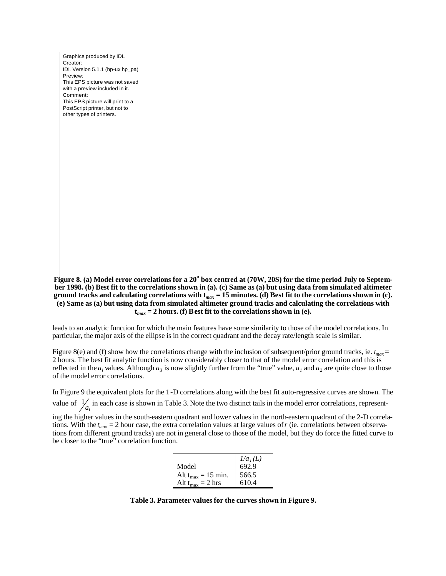Graphics produced by IDL Creator: IDL Version 5.1.1 (hp-ux hp\_pa) Preview: This EPS picture was not saved with a preview included in it. Comment: This EPS picture will print to a PostScript printer, but not to other types of printers.

Figure 8. (a) Model error correlations for a 20<sup>°</sup> box centred at (70W, 20S) for the time period July to Septem**ber 1998. (b) Best fit to the correlations shown in (a). (c) Same as (a) but using data from simulat ed altimeter**  ground tracks and calculating correlations with  $t_{max}$  = 15 minutes. (d) Best fit to the correlations shown in (c). **(e) Same as (a) but using data from simulated altimeter ground tracks and calculating the correlations with**   $t_{max}$  = 2 hours. (f) B est fit to the correlations shown in (e).

leads to an analytic function for which the main features have some similarity to those of the model correlations. In particular, the major axis of the ellipse is in the correct quadrant and the decay rate/length scale is similar.

Figure 8(e) and (f) show how the correlations change with the inclusion of subsequent/prior ground tracks, ie.  $t_{max}$  = 2 hours. The best fit analytic function is now considerably closer to that of the model error correlation and this is reflected in the  $a_i$  values. Although  $a_3$  is now slightly further from the "true" value,  $a_1$  and  $a_2$  are quite close to those of the model error correlations.

In Figure 9 the equivalent plots for the 1-D correlations along with the best fit auto-regressive curves are shown. The value of  $\frac{1}{a_1}$  $\frac{1}{a_1}$  in each case is shown in Table 3. Note the two distinct tails in the model error correlations, represent-

ing the higher values in the south-eastern quadrant and lower values in the north-eastern quadrant of the 2-D correlations. With the *tmax* = 2 hour case, the extra correlation values at large values of *r* (ie. correlations between observations from different ground tracks) are not in general close to those of the model, but they do force the fitted curve to be closer to the "true" correlation function.

|                         | 1/a <sub>I</sub> (L) |
|-------------------------|----------------------|
| Model                   | 692.9                |
| Alt $t_{max} = 15$ min. | 566.5                |
| Alt $t_{max} = 2$ hrs   | 610.4                |

**Table 3. Parameter values for the curves shown in Figure 9.**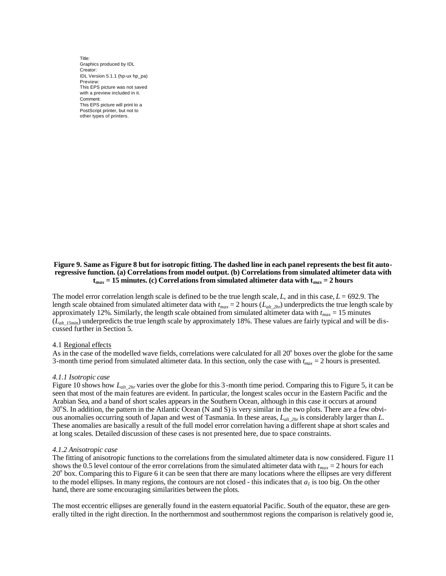

### **Figure 9. Same as Figure 8 but for isotropic fitting. The dashed line in each panel represents the best fit autoregressive function. (a) Correlations from model output. (b) Correlations from simulated altimeter data with**   $t_{max}$  = 15 minutes. (c) Correlations from simulated altimeter data with  $t_{max}$  = 2 hours

The model error correlation length scale is defined to be the true length scale,  $L$ , and in this case,  $L = 692.9$ . The length scale obtained from simulated altimeter data with *tmax* = 2 hours (*Lalt\_2hr*) underpredicts the true length scale by approximately 12%. Similarly, the length scale obtained from simulated altimeter data with *tmax* = 15 minutes  $(L_{alt\;I5min})$  underpredicts the true length scale by approximately 18%. These values are fairly typical and will be discussed further in Section 5.

#### 4.1 Regional effects

As in the case of the modelled wave fields, correlations were calculated for all 20<sup>°</sup> boxes over the globe for the same 3-month time period from simulated altimeter data. In this section, only the case with *tmax* = 2 hours is presented.

#### *4.1.1 Isotropic case*

Figure 10 shows how *L*<sub>alt 2hr</sub> varies over the globe for this 3-month time period. Comparing this to Figure 5, it can be seen that most of the main features are evident. In particular, the longest scales occur in the Eastern Pacific and the Arabian Sea, and a band of short scales appears in the Southern Ocean, although in this case it occurs at around 30°S. In addition, the pattern in the Atlantic Ocean (N and S) is very similar in the two plots. There are a few obvious anomalies occurring south of Japan and west of Tasmania. In these areas, *Lalt\_2hr* is considerably larger than *L*. These anomalies are basically a result of the full model error correlation having a different shape at short scales and at long scales. Detailed discussion of these cases is not presented here, due to space constraints.

#### *4.1.2 Anisotropic case*

The fitting of anisotropic functions to the correlations from the simulated altimeter data is now considered. Figure 11 shows the 0.5 level contour of the error correlations from the simulated altimeter data with  $t_{max} = 2$  hours for each 20<sup>°</sup> box. Comparing this to Figure 6 it can be seen that there are many locations where the ellipses are very different to the model ellipses. In many regions, the contours are not closed - this indicates that  $a<sub>l</sub>$  is too big. On the other hand, there are some encouraging similarities between the plots.

The most eccentric ellipses are generally found in the eastern equatorial Pacific. South of the equator, these are generally tilted in the right direction. In the northernmost and southernmost regions the comparison is relatively good ie,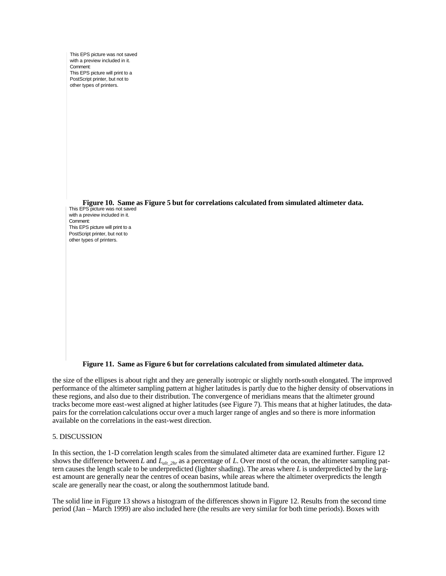

**Figure 11. Same as Figure 6 but for correlations calculated from simulated altimeter data.**

the size of the ellipses is about right and they are generally isotropic or slightly north-south elongated. The improved performance of the altimeter sampling pattern at higher latitudes is partly due to the higher density of observations in these regions, and also due to their distribution. The convergence of meridians means that the altimeter ground tracks become more east-west aligned at higher latitudes (see Figure 7). This means that at higher latitudes, the datapairs for the correlation calculations occur over a much larger range of angles and so there is more information available on the correlations in the east-west direction.

# 5. DISCUSSION

In this section, the 1-D correlation length scales from the simulated altimeter data are examined further. Figure 12 shows the difference between *L* and *Lalt\_2hr* as a percentage of *L*. Over most of the ocean, the altimeter sampling pattern causes the length scale to be underpredicted (lighter shading). The areas where *L* is underpredicted by the largest amount are generally near the centres of ocean basins, while areas where the altimeter overpredicts the length scale are generally near the coast, or along the southernmost latitude band.

The solid line in Figure 13 shows a histogram of the differences shown in Figure 12. Results from the second time period (Jan – March 1999) are also included here (the results are very similar for both time periods). Boxes with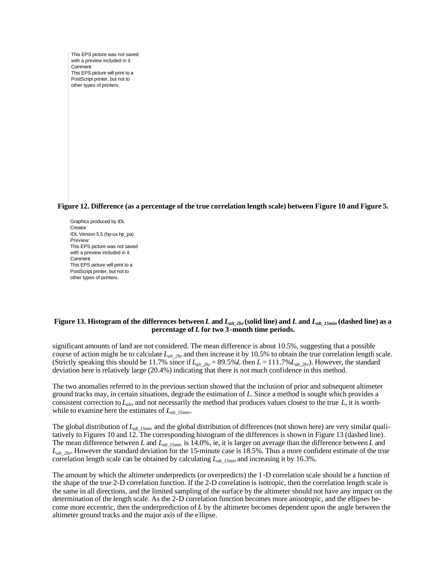**Figure 12. Difference (as a percentage of the true correlation length scale) between Figure 10 and Figure 5.** 

Graphics produced by IDL Creator: IDL Version 5.5 (hp-ux hp\_pa) Preview: This EPS picture was not saved with a preview included in it. Comment: This EPS picture will print to a PostScript printer, but not to other types of printers.

# **Figure 13. Histogram of the differences between** *L* **and** *Lalt\_2hr* **(solid line) and** *L* **and** *Lalt\_15min* **(dashed line) as a percentage of** *L* **for two 3-month time periods.**

significant amounts of land are not considered. The mean difference is about 10.5%, suggesting that a possible course of action might be to calculate *L*<sub>alt</sub> <sub>2hr</sub> and then increase it by 10.5% to obtain the true correlation length scale. (Strictly speaking this should be 11.7% since if  $L_{alt_2hr} = 89.5\%L$  then  $L = 111.7\%L_{alt_2hr}$ ). However, the standard deviation here is relatively large (20.4%) indicating that there is not much confidence in this method.

The two anomalies referred to in the previous section showed that the inclusion of prior and subsequent altimeter ground tracks may, in certain situations, degrade the estimation of *L*. Since a method is sought which provides a consistent correction to *Lalt*, and not necessarily the method that produces values closest to the true *L*, it is worthwhile to examine here the estimates of *Lalt\_15min*.

The global distribution of *Lalt\_15min* and the global distribution of differences (not shown here) are very similar qualitatively to Figures 10 and 12. The corresponding histogram of the differences is shown in Figure 13 (dashed line). The mean difference between *L* and  $L_{alt\text{ 15min}}$  is 14.0%, ie, it is larger on average than the difference between *L* and  $L_{alt2hr}$ . However the standard deviation for the 15-minute case is 18.5%. Thus a more confident estimate of the true correlation length scale can be obtained by calculating *Lalt\_15min* and increasing it by 16.3%.

The amount by which the altimeter underpredicts (or overpredicts) the 1-D correlation scale should be a function of the shape of the true 2-D correlation function. If the 2-D correlation is isotropic, then the correlation length scale is the same in all directions, and the limited sampling of the surface by the altimeter should not have any impact on the determination of the length scale. As the 2-D correlation function becomes more anisotropic, and the ellipses become more eccentric, then the underprediction of *L* by the altimeter becomes dependent upon the angle between the altimeter ground tracks and the major axis of the ellipse.